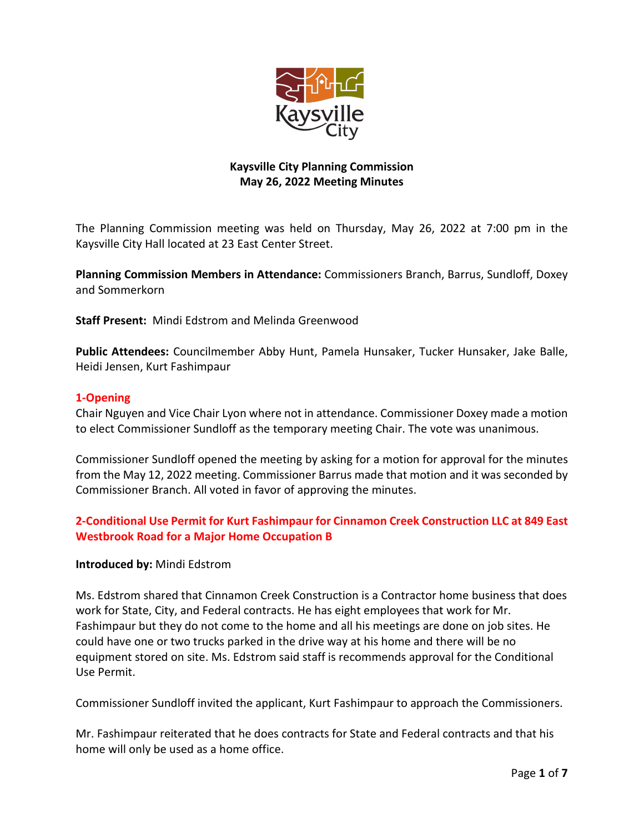

# **Kaysville City Planning Commission May 26, 2022 Meeting Minutes**

The Planning Commission meeting was held on Thursday, May 26, 2022 at 7:00 pm in the Kaysville City Hall located at 23 East Center Street.

**Planning Commission Members in Attendance:** Commissioners Branch, Barrus, Sundloff, Doxey and Sommerkorn

**Staff Present:** Mindi Edstrom and Melinda Greenwood

**Public Attendees:** Councilmember Abby Hunt, Pamela Hunsaker, Tucker Hunsaker, Jake Balle, Heidi Jensen, Kurt Fashimpaur

### **1-Opening**

Chair Nguyen and Vice Chair Lyon where not in attendance. Commissioner Doxey made a motion to elect Commissioner Sundloff as the temporary meeting Chair. The vote was unanimous.

Commissioner Sundloff opened the meeting by asking for a motion for approval for the minutes from the May 12, 2022 meeting. Commissioner Barrus made that motion and it was seconded by Commissioner Branch. All voted in favor of approving the minutes.

## **2-Conditional Use Permit for Kurt Fashimpaur for Cinnamon Creek Construction LLC at 849 East Westbrook Road for a Major Home Occupation B**

### **Introduced by:** Mindi Edstrom

Ms. Edstrom shared that Cinnamon Creek Construction is a Contractor home business that does work for State, City, and Federal contracts. He has eight employees that work for Mr. Fashimpaur but they do not come to the home and all his meetings are done on job sites. He could have one or two trucks parked in the drive way at his home and there will be no equipment stored on site. Ms. Edstrom said staff is recommends approval for the Conditional Use Permit.

Commissioner Sundloff invited the applicant, Kurt Fashimpaur to approach the Commissioners.

Mr. Fashimpaur reiterated that he does contracts for State and Federal contracts and that his home will only be used as a home office.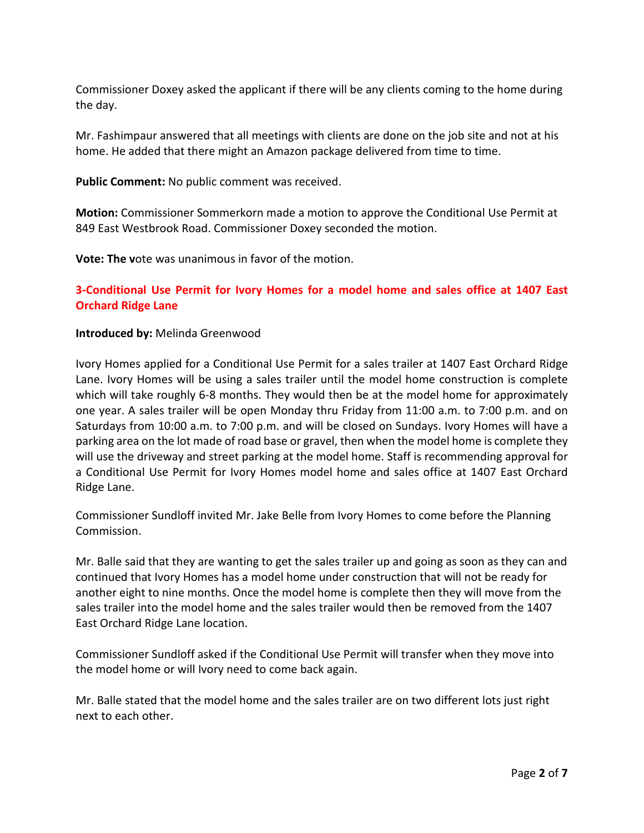Commissioner Doxey asked the applicant if there will be any clients coming to the home during the day.

Mr. Fashimpaur answered that all meetings with clients are done on the job site and not at his home. He added that there might an Amazon package delivered from time to time.

**Public Comment:** No public comment was received.

**Motion:** Commissioner Sommerkorn made a motion to approve the Conditional Use Permit at 849 East Westbrook Road. Commissioner Doxey seconded the motion.

**Vote: The v**ote was unanimous in favor of the motion.

### **3-Conditional Use Permit for Ivory Homes for a model home and sales office at 1407 East Orchard Ridge Lane**

#### **Introduced by:** Melinda Greenwood

Ivory Homes applied for a Conditional Use Permit for a sales trailer at 1407 East Orchard Ridge Lane. Ivory Homes will be using a sales trailer until the model home construction is complete which will take roughly 6-8 months. They would then be at the model home for approximately one year. A sales trailer will be open Monday thru Friday from 11:00 a.m. to 7:00 p.m. and on Saturdays from 10:00 a.m. to 7:00 p.m. and will be closed on Sundays. Ivory Homes will have a parking area on the lot made of road base or gravel, then when the model home is complete they will use the driveway and street parking at the model home. Staff is recommending approval for a Conditional Use Permit for Ivory Homes model home and sales office at 1407 East Orchard Ridge Lane.

Commissioner Sundloff invited Mr. Jake Belle from Ivory Homes to come before the Planning Commission.

Mr. Balle said that they are wanting to get the sales trailer up and going as soon as they can and continued that Ivory Homes has a model home under construction that will not be ready for another eight to nine months. Once the model home is complete then they will move from the sales trailer into the model home and the sales trailer would then be removed from the 1407 East Orchard Ridge Lane location.

Commissioner Sundloff asked if the Conditional Use Permit will transfer when they move into the model home or will Ivory need to come back again.

Mr. Balle stated that the model home and the sales trailer are on two different lots just right next to each other.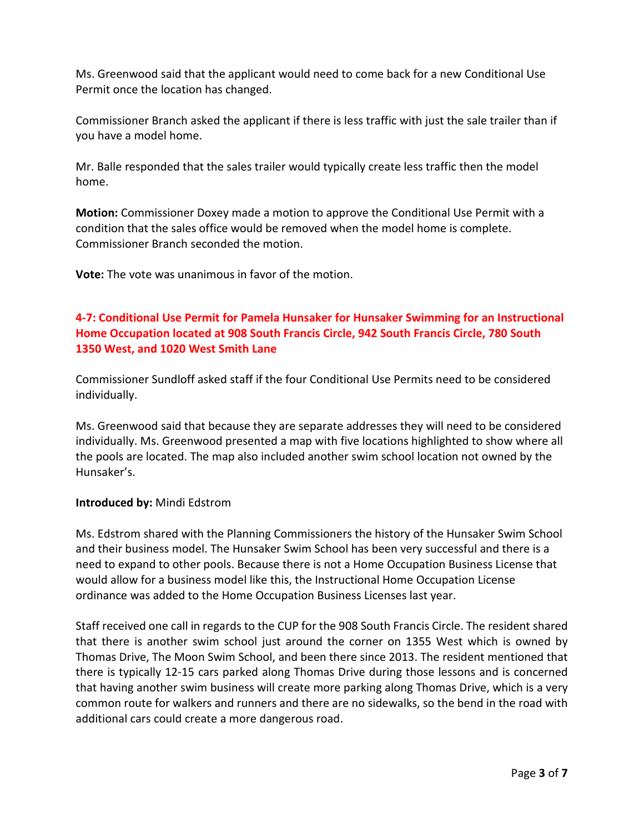Ms. Greenwood said that the applicant would need to come back for a new Conditional Use Permit once the location has changed.

Commissioner Branch asked the applicant if there is less traffic with just the sale trailer than if you have a model home.

Mr. Balle responded that the sales trailer would typically create less traffic then the model home.

**Motion:** Commissioner Doxey made a motion to approve the Conditional Use Permit with a condition that the sales office would be removed when the model home is complete. Commissioner Branch seconded the motion.

**Vote:** The vote was unanimous in favor of the motion.

# **4-7: Conditional Use Permit for Pamela Hunsaker for Hunsaker Swimming for an Instructional Home Occupation located at 908 South Francis Circle, 942 South Francis Circle, 780 South 1350 West, and 1020 West Smith Lane**

Commissioner Sundloff asked staff if the four Conditional Use Permits need to be considered individually.

Ms. Greenwood said that because they are separate addresses they will need to be considered individually. Ms. Greenwood presented a map with five locations highlighted to show where all the pools are located. The map also included another swim school location not owned by the Hunsaker's.

### **Introduced by:** Mindi Edstrom

Ms. Edstrom shared with the Planning Commissioners the history of the Hunsaker Swim School and their business model. The Hunsaker Swim School has been very successful and there is a need to expand to other pools. Because there is not a Home Occupation Business License that would allow for a business model like this, the Instructional Home Occupation License ordinance was added to the Home Occupation Business Licenses last year.

Staff received one call in regards to the CUP for the 908 South Francis Circle. The resident shared that there is another swim school just around the corner on 1355 West which is owned by Thomas Drive, The Moon Swim School, and been there since 2013. The resident mentioned that there is typically 12-15 cars parked along Thomas Drive during those lessons and is concerned that having another swim business will create more parking along Thomas Drive, which is a very common route for walkers and runners and there are no sidewalks, so the bend in the road with additional cars could create a more dangerous road.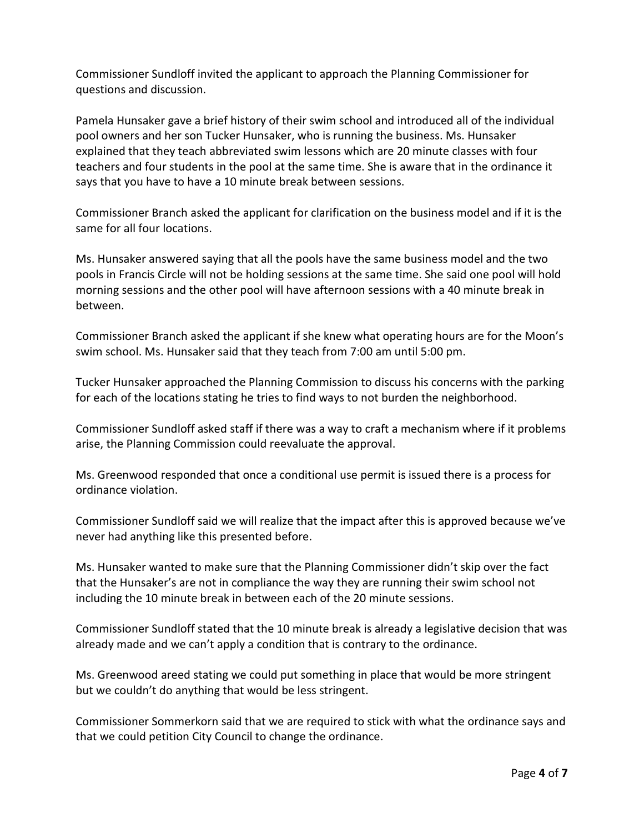Commissioner Sundloff invited the applicant to approach the Planning Commissioner for questions and discussion.

Pamela Hunsaker gave a brief history of their swim school and introduced all of the individual pool owners and her son Tucker Hunsaker, who is running the business. Ms. Hunsaker explained that they teach abbreviated swim lessons which are 20 minute classes with four teachers and four students in the pool at the same time. She is aware that in the ordinance it says that you have to have a 10 minute break between sessions.

Commissioner Branch asked the applicant for clarification on the business model and if it is the same for all four locations.

Ms. Hunsaker answered saying that all the pools have the same business model and the two pools in Francis Circle will not be holding sessions at the same time. She said one pool will hold morning sessions and the other pool will have afternoon sessions with a 40 minute break in between.

Commissioner Branch asked the applicant if she knew what operating hours are for the Moon's swim school. Ms. Hunsaker said that they teach from 7:00 am until 5:00 pm.

Tucker Hunsaker approached the Planning Commission to discuss his concerns with the parking for each of the locations stating he tries to find ways to not burden the neighborhood.

Commissioner Sundloff asked staff if there was a way to craft a mechanism where if it problems arise, the Planning Commission could reevaluate the approval.

Ms. Greenwood responded that once a conditional use permit is issued there is a process for ordinance violation.

Commissioner Sundloff said we will realize that the impact after this is approved because we've never had anything like this presented before.

Ms. Hunsaker wanted to make sure that the Planning Commissioner didn't skip over the fact that the Hunsaker's are not in compliance the way they are running their swim school not including the 10 minute break in between each of the 20 minute sessions.

Commissioner Sundloff stated that the 10 minute break is already a legislative decision that was already made and we can't apply a condition that is contrary to the ordinance.

Ms. Greenwood areed stating we could put something in place that would be more stringent but we couldn't do anything that would be less stringent.

Commissioner Sommerkorn said that we are required to stick with what the ordinance says and that we could petition City Council to change the ordinance.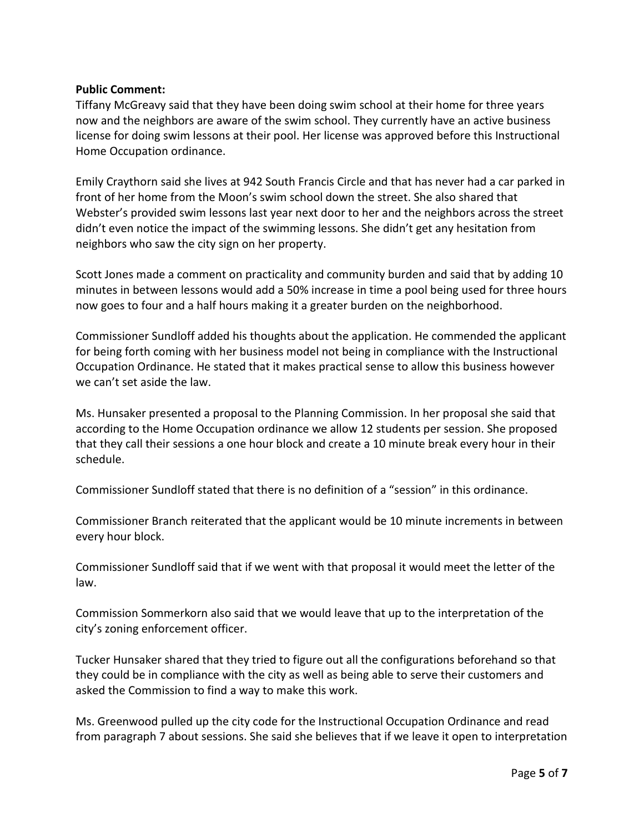### **Public Comment:**

Tiffany McGreavy said that they have been doing swim school at their home for three years now and the neighbors are aware of the swim school. They currently have an active business license for doing swim lessons at their pool. Her license was approved before this Instructional Home Occupation ordinance.

Emily Craythorn said she lives at 942 South Francis Circle and that has never had a car parked in front of her home from the Moon's swim school down the street. She also shared that Webster's provided swim lessons last year next door to her and the neighbors across the street didn't even notice the impact of the swimming lessons. She didn't get any hesitation from neighbors who saw the city sign on her property.

Scott Jones made a comment on practicality and community burden and said that by adding 10 minutes in between lessons would add a 50% increase in time a pool being used for three hours now goes to four and a half hours making it a greater burden on the neighborhood.

Commissioner Sundloff added his thoughts about the application. He commended the applicant for being forth coming with her business model not being in compliance with the Instructional Occupation Ordinance. He stated that it makes practical sense to allow this business however we can't set aside the law.

Ms. Hunsaker presented a proposal to the Planning Commission. In her proposal she said that according to the Home Occupation ordinance we allow 12 students per session. She proposed that they call their sessions a one hour block and create a 10 minute break every hour in their schedule.

Commissioner Sundloff stated that there is no definition of a "session" in this ordinance.

Commissioner Branch reiterated that the applicant would be 10 minute increments in between every hour block.

Commissioner Sundloff said that if we went with that proposal it would meet the letter of the law.

Commission Sommerkorn also said that we would leave that up to the interpretation of the city's zoning enforcement officer.

Tucker Hunsaker shared that they tried to figure out all the configurations beforehand so that they could be in compliance with the city as well as being able to serve their customers and asked the Commission to find a way to make this work.

Ms. Greenwood pulled up the city code for the Instructional Occupation Ordinance and read from paragraph 7 about sessions. She said she believes that if we leave it open to interpretation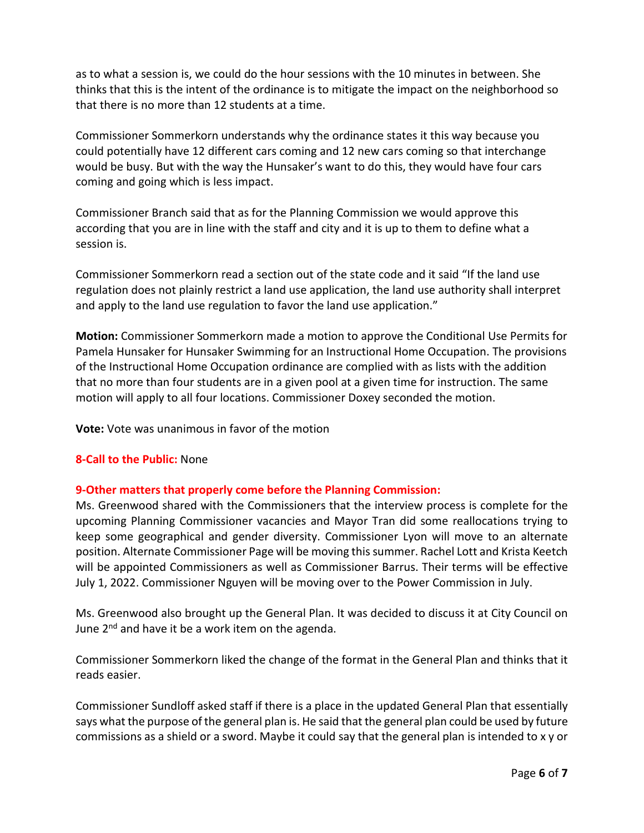as to what a session is, we could do the hour sessions with the 10 minutes in between. She thinks that this is the intent of the ordinance is to mitigate the impact on the neighborhood so that there is no more than 12 students at a time.

Commissioner Sommerkorn understands why the ordinance states it this way because you could potentially have 12 different cars coming and 12 new cars coming so that interchange would be busy. But with the way the Hunsaker's want to do this, they would have four cars coming and going which is less impact.

Commissioner Branch said that as for the Planning Commission we would approve this according that you are in line with the staff and city and it is up to them to define what a session is.

Commissioner Sommerkorn read a section out of the state code and it said "If the land use regulation does not plainly restrict a land use application, the land use authority shall interpret and apply to the land use regulation to favor the land use application."

**Motion:** Commissioner Sommerkorn made a motion to approve the Conditional Use Permits for Pamela Hunsaker for Hunsaker Swimming for an Instructional Home Occupation. The provisions of the Instructional Home Occupation ordinance are complied with as lists with the addition that no more than four students are in a given pool at a given time for instruction. The same motion will apply to all four locations. Commissioner Doxey seconded the motion.

**Vote:** Vote was unanimous in favor of the motion

### **8-Call to the Public:** None

## **9-Other matters that properly come before the Planning Commission:**

Ms. Greenwood shared with the Commissioners that the interview process is complete for the upcoming Planning Commissioner vacancies and Mayor Tran did some reallocations trying to keep some geographical and gender diversity. Commissioner Lyon will move to an alternate position. Alternate Commissioner Page will be moving this summer. Rachel Lott and Krista Keetch will be appointed Commissioners as well as Commissioner Barrus. Their terms will be effective July 1, 2022. Commissioner Nguyen will be moving over to the Power Commission in July.

Ms. Greenwood also brought up the General Plan. It was decided to discuss it at City Council on June 2<sup>nd</sup> and have it be a work item on the agenda.

Commissioner Sommerkorn liked the change of the format in the General Plan and thinks that it reads easier.

Commissioner Sundloff asked staff if there is a place in the updated General Plan that essentially says what the purpose of the general plan is. He said that the general plan could be used by future commissions as a shield or a sword. Maybe it could say that the general plan is intended to x y or